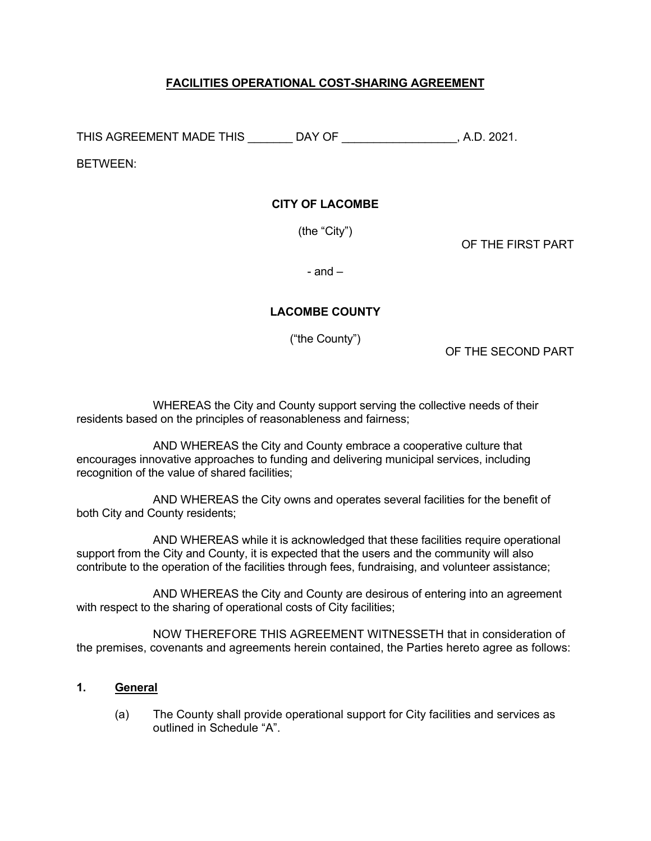# **FACILITIES OPERATIONAL COST-SHARING AGREEMENT**

THIS AGREEMENT MADE THIS \_\_\_\_\_\_\_ DAY OF \_\_\_\_\_\_\_\_\_\_\_\_\_\_\_\_\_\_, A.D. 2021.

BETWEEN:

## **CITY OF LACOMBE**

(the "City")

OF THE FIRST PART

 $-$  and  $-$ 

# **LACOMBE COUNTY**

("the County")

OF THE SECOND PART

 WHEREAS the City and County support serving the collective needs of their residents based on the principles of reasonableness and fairness;

 AND WHEREAS the City and County embrace a cooperative culture that encourages innovative approaches to funding and delivering municipal services, including recognition of the value of shared facilities;

 AND WHEREAS the City owns and operates several facilities for the benefit of both City and County residents;

 AND WHEREAS while it is acknowledged that these facilities require operational support from the City and County, it is expected that the users and the community will also contribute to the operation of the facilities through fees, fundraising, and volunteer assistance;

 AND WHEREAS the City and County are desirous of entering into an agreement with respect to the sharing of operational costs of City facilities;

 NOW THEREFORE THIS AGREEMENT WITNESSETH that in consideration of the premises, covenants and agreements herein contained, the Parties hereto agree as follows:

### **1. General**

(a) The County shall provide operational support for City facilities and services as outlined in Schedule "A".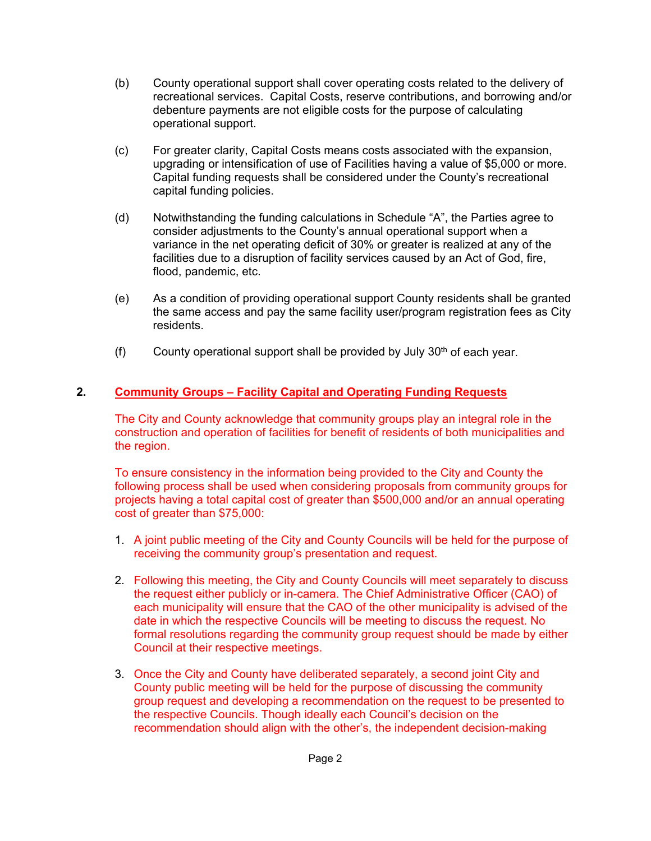- (b) County operational support shall cover operating costs related to the delivery of recreational services. Capital Costs, reserve contributions, and borrowing and/or debenture payments are not eligible costs for the purpose of calculating operational support.
- (c) For greater clarity, Capital Costs means costs associated with the expansion, upgrading or intensification of use of Facilities having a value of \$5,000 or more. Capital funding requests shall be considered under the County's recreational capital funding policies.
- (d) Notwithstanding the funding calculations in Schedule "A", the Parties agree to consider adjustments to the County's annual operational support when a variance in the net operating deficit of 30% or greater is realized at any of the facilities due to a disruption of facility services caused by an Act of God, fire, flood, pandemic, etc.
- (e) As a condition of providing operational support County residents shall be granted the same access and pay the same facility user/program registration fees as City residents.
- (f) County operational support shall be provided by July  $30<sup>th</sup>$  of each year.

# **2. Community Groups – Facility Capital and Operating Funding Requests**

The City and County acknowledge that community groups play an integral role in the construction and operation of facilities for benefit of residents of both municipalities and the region.

To ensure consistency in the information being provided to the City and County the following process shall be used when considering proposals from community groups for projects having a total capital cost of greater than \$500,000 and/or an annual operating cost of greater than \$75,000:

- 1. A joint public meeting of the City and County Councils will be held for the purpose of receiving the community group's presentation and request.
- 2. Following this meeting, the City and County Councils will meet separately to discuss the request either publicly or in-camera. The Chief Administrative Officer (CAO) of each municipality will ensure that the CAO of the other municipality is advised of the date in which the respective Councils will be meeting to discuss the request. No formal resolutions regarding the community group request should be made by either Council at their respective meetings.
- 3. Once the City and County have deliberated separately, a second joint City and County public meeting will be held for the purpose of discussing the community group request and developing a recommendation on the request to be presented to the respective Councils. Though ideally each Council's decision on the recommendation should align with the other's, the independent decision-making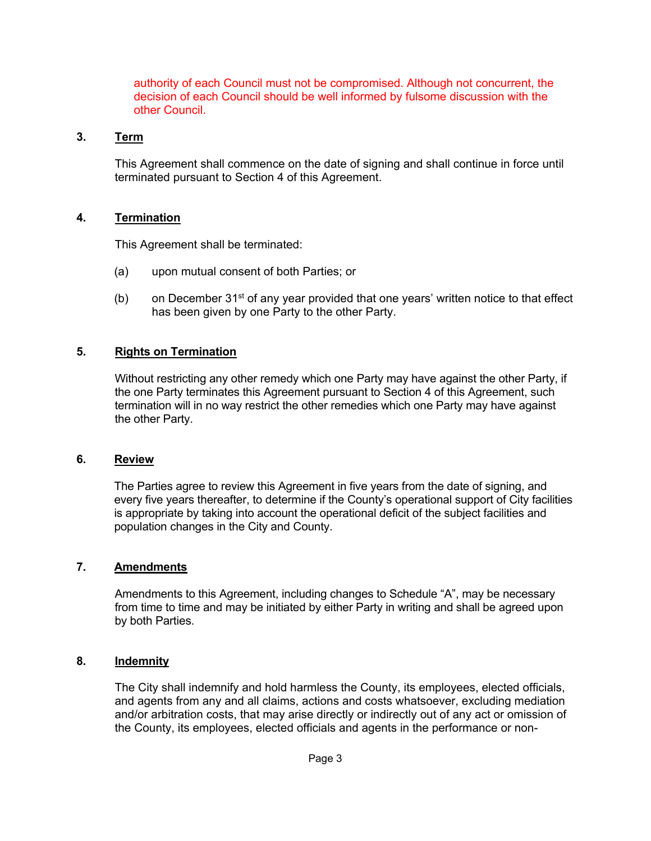authority of each Council must not be compromised. Although not concurrent, the decision of each Council should be well informed by fulsome discussion with the other Council.

## **3. Term**

This Agreement shall commence on the date of signing and shall continue in force until terminated pursuant to Section 4 of this Agreement.

## **4. Termination**

This Agreement shall be terminated:

- (a) upon mutual consent of both Parties; or
- (b) on December  $31^{st}$  of any year provided that one years' written notice to that effect has been given by one Party to the other Party.

### **5. Rights on Termination**

Without restricting any other remedy which one Party may have against the other Party, if the one Party terminates this Agreement pursuant to Section 4 of this Agreement, such termination will in no way restrict the other remedies which one Party may have against the other Party.

### **6. Review**

The Parties agree to review this Agreement in five years from the date of signing, and every five years thereafter, to determine if the County's operational support of City facilities is appropriate by taking into account the operational deficit of the subject facilities and population changes in the City and County.

### **7. Amendments**

Amendments to this Agreement, including changes to Schedule "A", may be necessary from time to time and may be initiated by either Party in writing and shall be agreed upon by both Parties.

### **8. Indemnity**

The City shall indemnify and hold harmless the County, its employees, elected officials, and agents from any and all claims, actions and costs whatsoever, excluding mediation and/or arbitration costs, that may arise directly or indirectly out of any act or omission of the County, its employees, elected officials and agents in the performance or non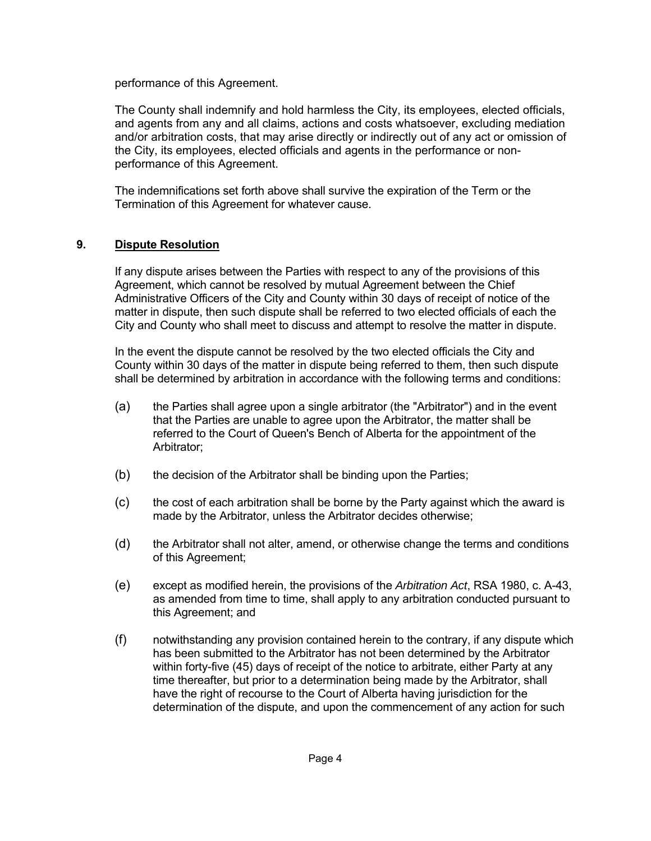performance of this Agreement.

The County shall indemnify and hold harmless the City, its employees, elected officials, and agents from any and all claims, actions and costs whatsoever, excluding mediation and/or arbitration costs, that may arise directly or indirectly out of any act or omission of the City, its employees, elected officials and agents in the performance or nonperformance of this Agreement.

The indemnifications set forth above shall survive the expiration of the Term or the Termination of this Agreement for whatever cause.

# **9. Dispute Resolution**

If any dispute arises between the Parties with respect to any of the provisions of this Agreement, which cannot be resolved by mutual Agreement between the Chief Administrative Officers of the City and County within 30 days of receipt of notice of the matter in dispute, then such dispute shall be referred to two elected officials of each the City and County who shall meet to discuss and attempt to resolve the matter in dispute.

In the event the dispute cannot be resolved by the two elected officials the City and County within 30 days of the matter in dispute being referred to them, then such dispute shall be determined by arbitration in accordance with the following terms and conditions:

- (a) the Parties shall agree upon a single arbitrator (the "Arbitrator") and in the event that the Parties are unable to agree upon the Arbitrator, the matter shall be referred to the Court of Queen's Bench of Alberta for the appointment of the Arbitrator;
- (b) the decision of the Arbitrator shall be binding upon the Parties;
- (c) the cost of each arbitration shall be borne by the Party against which the award is made by the Arbitrator, unless the Arbitrator decides otherwise;
- (d) the Arbitrator shall not alter, amend, or otherwise change the terms and conditions of this Agreement;
- (e) except as modified herein, the provisions of the *Arbitration Act*, RSA 1980, c. A-43, as amended from time to time, shall apply to any arbitration conducted pursuant to this Agreement; and
- (f) notwithstanding any provision contained herein to the contrary, if any dispute which has been submitted to the Arbitrator has not been determined by the Arbitrator within forty-five (45) days of receipt of the notice to arbitrate, either Party at any time thereafter, but prior to a determination being made by the Arbitrator, shall have the right of recourse to the Court of Alberta having jurisdiction for the determination of the dispute, and upon the commencement of any action for such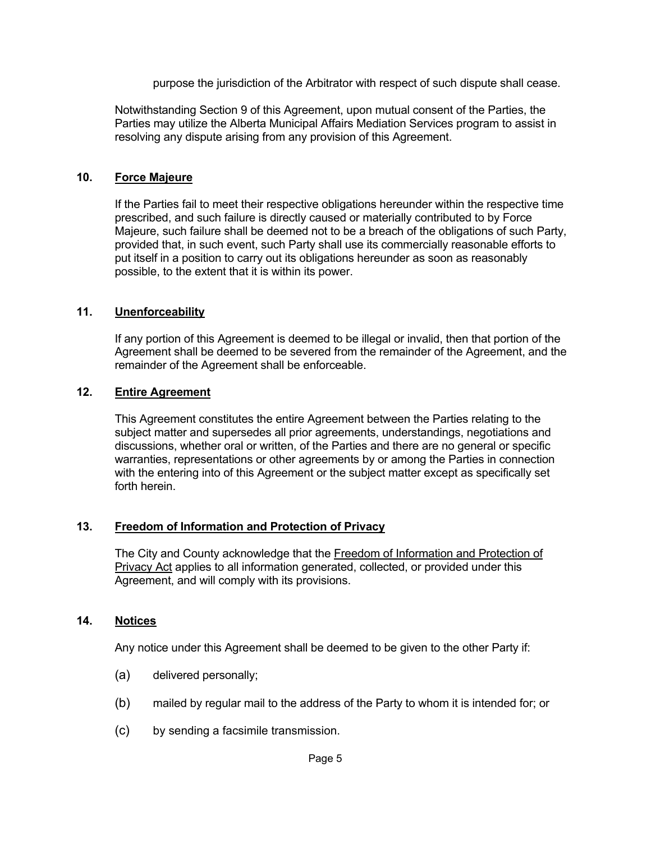purpose the jurisdiction of the Arbitrator with respect of such dispute shall cease.

Notwithstanding Section 9 of this Agreement, upon mutual consent of the Parties, the Parties may utilize the Alberta Municipal Affairs Mediation Services program to assist in resolving any dispute arising from any provision of this Agreement.

#### **10. Force Majeure**

If the Parties fail to meet their respective obligations hereunder within the respective time prescribed, and such failure is directly caused or materially contributed to by Force Majeure, such failure shall be deemed not to be a breach of the obligations of such Party, provided that, in such event, such Party shall use its commercially reasonable efforts to put itself in a position to carry out its obligations hereunder as soon as reasonably possible, to the extent that it is within its power.

#### **11. Unenforceability**

If any portion of this Agreement is deemed to be illegal or invalid, then that portion of the Agreement shall be deemed to be severed from the remainder of the Agreement, and the remainder of the Agreement shall be enforceable.

### **12. Entire Agreement**

This Agreement constitutes the entire Agreement between the Parties relating to the subject matter and supersedes all prior agreements, understandings, negotiations and discussions, whether oral or written, of the Parties and there are no general or specific warranties, representations or other agreements by or among the Parties in connection with the entering into of this Agreement or the subject matter except as specifically set forth herein.

### **13. Freedom of Information and Protection of Privacy**

The City and County acknowledge that the Freedom of Information and Protection of Privacy Act applies to all information generated, collected, or provided under this Agreement, and will comply with its provisions.

### **14. Notices**

Any notice under this Agreement shall be deemed to be given to the other Party if:

- (a) delivered personally;
- (b) mailed by regular mail to the address of the Party to whom it is intended for; or
- (c) by sending a facsimile transmission.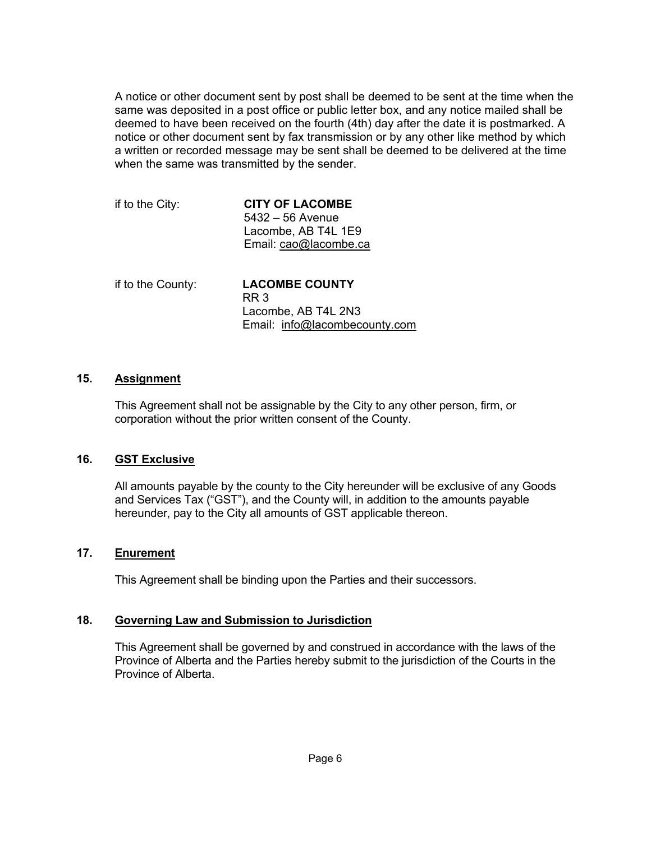A notice or other document sent by post shall be deemed to be sent at the time when the same was deposited in a post office or public letter box, and any notice mailed shall be deemed to have been received on the fourth (4th) day after the date it is postmarked. A notice or other document sent by fax transmission or by any other like method by which a written or recorded message may be sent shall be deemed to be delivered at the time when the same was transmitted by the sender.

| if to the City: | <b>CITY OF LACOMBE</b> |
|-----------------|------------------------|
|                 | $5432 - 56$ Avenue     |
|                 | Lacombe, AB T4L 1E9    |
|                 | Email: cao@lacombe.ca  |
|                 |                        |

| if to the County: | <b>LACOMBE COUNTY</b>         |
|-------------------|-------------------------------|
|                   | RR 3                          |
|                   | Lacombe, AB T4L 2N3           |
|                   | Email: info@lacombecounty.com |

### **15. Assignment**

This Agreement shall not be assignable by the City to any other person, firm, or corporation without the prior written consent of the County.

### **16. GST Exclusive**

All amounts payable by the county to the City hereunder will be exclusive of any Goods and Services Tax ("GST"), and the County will, in addition to the amounts payable hereunder, pay to the City all amounts of GST applicable thereon.

### **17. Enurement**

This Agreement shall be binding upon the Parties and their successors.

### **18. Governing Law and Submission to Jurisdiction**

This Agreement shall be governed by and construed in accordance with the laws of the Province of Alberta and the Parties hereby submit to the jurisdiction of the Courts in the Province of Alberta.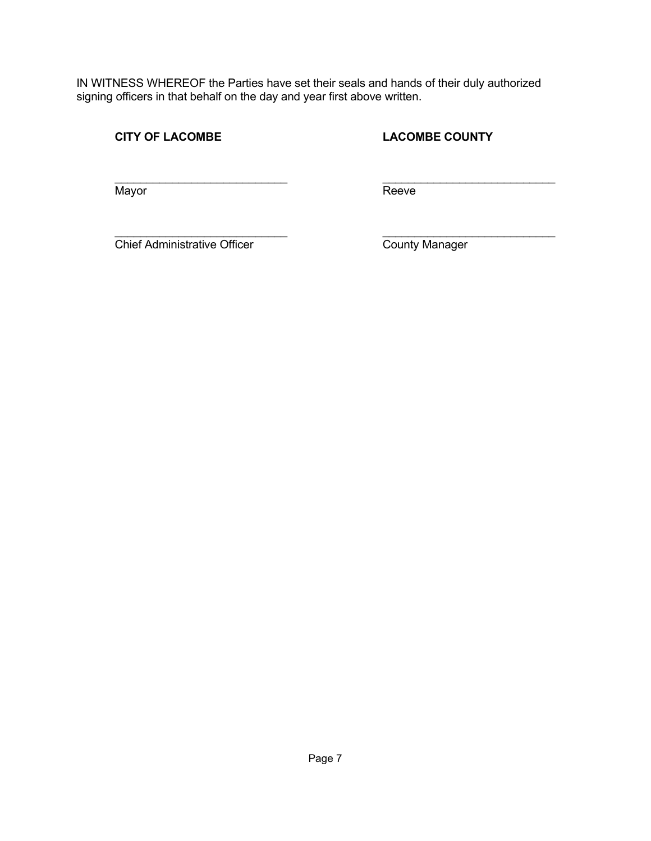IN WITNESS WHEREOF the Parties have set their seals and hands of their duly authorized signing officers in that behalf on the day and year first above written.

**CITY OF LACOMBE COUNTY** 

 $\mathcal{L}_\text{max} = \frac{1}{2} \sum_{i=1}^{n} \frac{1}{2} \sum_{i=1}^{n} \frac{1}{2} \sum_{i=1}^{n} \frac{1}{2} \sum_{i=1}^{n} \frac{1}{2} \sum_{i=1}^{n} \frac{1}{2} \sum_{i=1}^{n} \frac{1}{2} \sum_{i=1}^{n} \frac{1}{2} \sum_{i=1}^{n} \frac{1}{2} \sum_{i=1}^{n} \frac{1}{2} \sum_{i=1}^{n} \frac{1}{2} \sum_{i=1}^{n} \frac{1}{2} \sum_{i=1}^{n} \frac{1$ Mayor Reeve

 $\mathcal{L}_\text{max} = \frac{1}{2} \sum_{i=1}^{n} \frac{1}{2} \sum_{i=1}^{n} \frac{1}{2} \sum_{i=1}^{n} \frac{1}{2} \sum_{i=1}^{n} \frac{1}{2} \sum_{i=1}^{n} \frac{1}{2} \sum_{i=1}^{n} \frac{1}{2} \sum_{i=1}^{n} \frac{1}{2} \sum_{i=1}^{n} \frac{1}{2} \sum_{i=1}^{n} \frac{1}{2} \sum_{i=1}^{n} \frac{1}{2} \sum_{i=1}^{n} \frac{1}{2} \sum_{i=1}^{n} \frac{1$ Chief Administrative Officer County Manager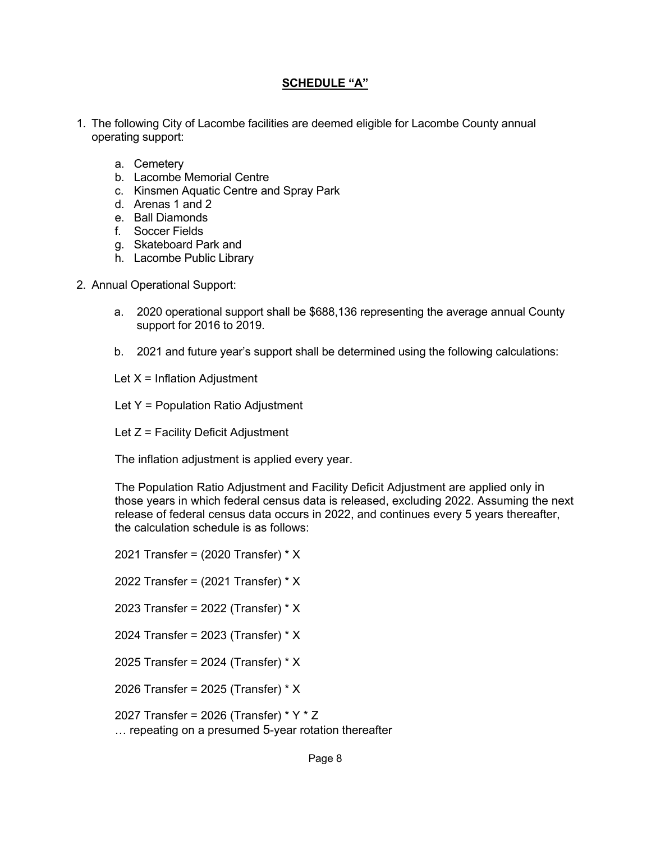## **SCHEDULE "A"**

- 1. The following City of Lacombe facilities are deemed eligible for Lacombe County annual operating support:
	- a. Cemetery
	- b. Lacombe Memorial Centre
	- c. Kinsmen Aquatic Centre and Spray Park
	- d. Arenas 1 and 2
	- e. Ball Diamonds
	- f. Soccer Fields
	- g. Skateboard Park and
	- h. Lacombe Public Library
- 2. Annual Operational Support:
	- a. 2020 operational support shall be \$688,136 representing the average annual County support for 2016 to 2019.
	- b. 2021 and future year's support shall be determined using the following calculations:

Let  $X = Inflation$  Adjustment

- Let Y = Population Ratio Adjustment
- Let  $Z =$  Facility Deficit Adjustment

The inflation adjustment is applied every year.

The Population Ratio Adjustment and Facility Deficit Adjustment are applied only in those years in which federal census data is released, excluding 2022. Assuming the next release of federal census data occurs in 2022, and continues every 5 years thereafter, the calculation schedule is as follows:

2021 Transfer = (2020 Transfer) \* X

2022 Transfer = (2021 Transfer) \* X

2023 Transfer = 2022 (Transfer) \* X

2024 Transfer = 2023 (Transfer) \* X

2025 Transfer = 2024 (Transfer) \* X

2026 Transfer = 2025 (Transfer) \* X

2027 Transfer = 2026 (Transfer) \* Y \* Z … repeating on a presumed 5-year rotation thereafter